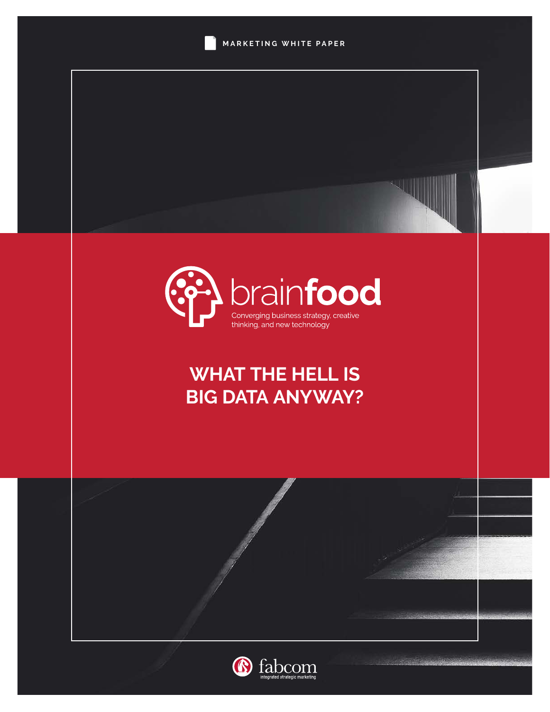



# **WHAT THE HELL IS BIG DATA ANYWAY?**



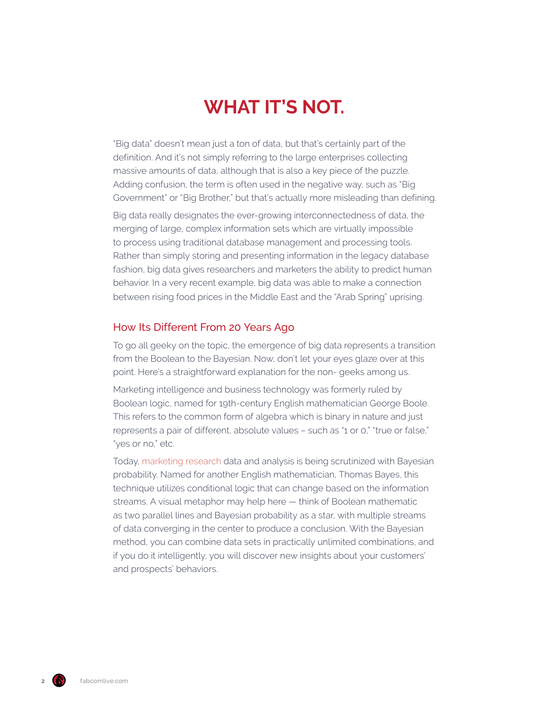# **WHAT IT'S NOT.**

"Big data" doesn't mean just a ton of data, but that's certainly part of the definition. And it's not simply referring to the large enterprises collecting massive amounts of data, although that is also a key piece of the puzzle. Adding confusion, the term is often used in the negative way, such as "Big Government" or "Big Brother," but that's actually more misleading than defining.

Big data really designates the ever-growing interconnectedness of data, the merging of large, complex information sets which are virtually impossible to process using traditional database management and processing tools. Rather than simply storing and presenting information in the legacy database fashion, big data gives researchers and marketers the ability to predict human behavior. In a very recent example, big data was able to make a connection between rising food prices in the Middle East and the "Arab Spring" uprising.

### How Its Different From 20 Years Ago

To go all geeky on the topic, the emergence of big data represents a transition from the Boolean to the Bayesian. Now, don't let your eyes glaze over at this point. Here's a straightforward explanation for the non- geeks among us.

Marketing intelligence and business technology was formerly ruled by Boolean logic, named for 19th-century English mathematician George Boole. This refers to the common form of algebra which is binary in nature and just represents a pair of different, absolute values – such as "1 or 0," "true or false," "yes or no," etc.

Today, [marketing research](https://www.fabcomlive.com/phoenix-marketing-advertising-agency-services/marketing-research) data and analysis is being scrutinized with Bayesian probability. Named for another English mathematician, Thomas Bayes, this technique utilizes conditional logic that can change based on the information streams. A visual metaphor may help here — think of Boolean mathematic as two parallel lines and Bayesian probability as a star, with multiple streams of data converging in the center to produce a conclusion. With the Bayesian method, you can combine data sets in practically unlimited combinations, and if you do it intelligently, you will discover new insights about your customers' and prospects' behaviors.

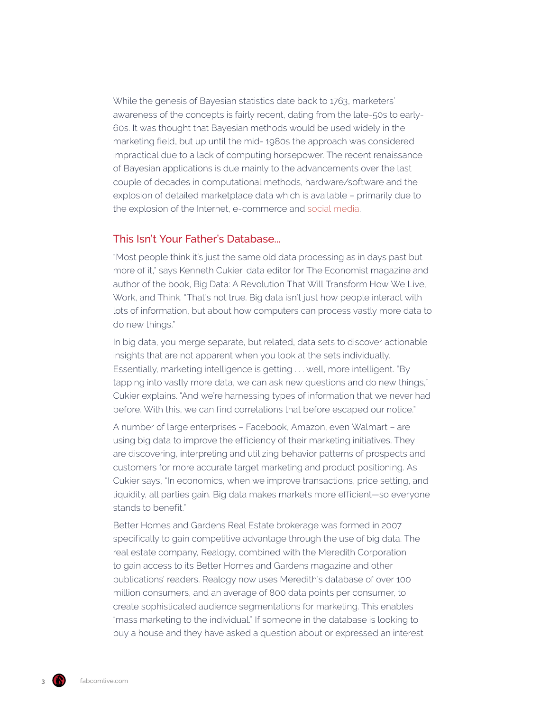While the genesis of Bayesian statistics date back to 1763, marketers' awareness of the concepts is fairly recent, dating from the late-50s to early-60s. It was thought that Bayesian methods would be used widely in the marketing field, but up until the mid- 1980s the approach was considered impractical due to a lack of computing horsepower. The recent renaissance of Bayesian applications is due mainly to the advancements over the last couple of decades in computational methods, hardware/software and the explosion of detailed marketplace data which is available – primarily due to the explosion of the Internet, e-commerce and [social media](https://www.fabcomlive.com/phoenix-marketing-advertising-agency-services/social-media).

# This Isn't Your Father's Database...

"Most people think it's just the same old data processing as in days past but more of it," says Kenneth Cukier, data editor for The Economist magazine and author of the book, Big Data: A Revolution That Will Transform How We Live, Work, and Think. "That's not true. Big data isn't just how people interact with lots of information, but about how computers can process vastly more data to do new things."

In big data, you merge separate, but related, data sets to discover actionable insights that are not apparent when you look at the sets individually. Essentially, marketing intelligence is getting . . . well, more intelligent. "By tapping into vastly more data, we can ask new questions and do new things," Cukier explains. "And we're harnessing types of information that we never had before. With this, we can find correlations that before escaped our notice."

A number of large enterprises – Facebook, Amazon, even Walmart – are using big data to improve the efficiency of their marketing initiatives. They are discovering, interpreting and utilizing behavior patterns of prospects and customers for more accurate target marketing and product positioning. As Cukier says, "In economics, when we improve transactions, price setting, and liquidity, all parties gain. Big data makes markets more efficient—so everyone stands to benefit."

Better Homes and Gardens Real Estate brokerage was formed in 2007 specifically to gain competitive advantage through the use of big data. The real estate company, Realogy, combined with the Meredith Corporation to gain access to its Better Homes and Gardens magazine and other publications' readers. Realogy now uses Meredith's database of over 100 million consumers, and an average of 800 data points per consumer, to create sophisticated audience segmentations for marketing. This enables "mass marketing to the individual." If someone in the database is looking to buy a house and they have asked a question about or expressed an interest

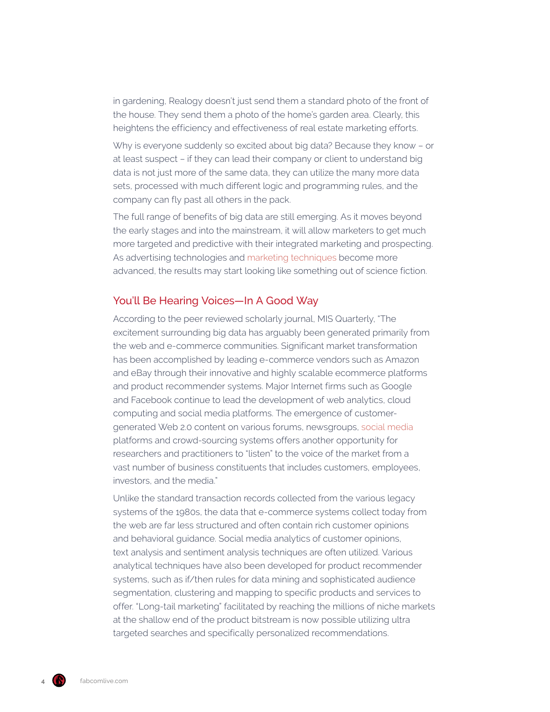in gardening, Realogy doesn't just send them a standard photo of the front of the house. They send them a photo of the home's garden area. Clearly, this heightens the efficiency and effectiveness of real estate marketing efforts.

Why is everyone suddenly so excited about big data? Because they know – or at least suspect – if they can lead their company or client to understand big data is not just more of the same data, they can utilize the many more data sets, processed with much different logic and programming rules, and the company can fly past all others in the pack.

The full range of benefits of big data are still emerging. As it moves beyond the early stages and into the mainstream, it will allow marketers to get much more targeted and predictive with their integrated marketing and prospecting. As advertising technologies and [marketing techniques](https://www.fabcomlive.com/phoenix-marketing-advertising-agency-services/marketing-business-intelligence) become more advanced, the results may start looking like something out of science fiction.

# You'll Be Hearing Voices—In A Good Way

According to the peer reviewed scholarly journal, MIS Quarterly, "The excitement surrounding big data has arguably been generated primarily from the web and e-commerce communities. Significant market transformation has been accomplished by leading e-commerce vendors such as Amazon and eBay through their innovative and highly scalable ecommerce platforms and product recommender systems. Major Internet firms such as Google and Facebook continue to lead the development of web analytics, cloud computing and social media platforms. The emergence of customergenerated Web 2.0 content on various forums, newsgroups, [social media](https://www.fabcomlive.com/phoenix-marketing-advertising-agency-services/social-media) platforms and crowd-sourcing systems offers another opportunity for researchers and practitioners to "listen" to the voice of the market from a vast number of business constituents that includes customers, employees, investors, and the media."

Unlike the standard transaction records collected from the various legacy systems of the 1980s, the data that e-commerce systems collect today from the web are far less structured and often contain rich customer opinions and behavioral guidance. Social media analytics of customer opinions, text analysis and sentiment analysis techniques are often utilized. Various analytical techniques have also been developed for product recommender systems, such as if/then rules for data mining and sophisticated audience segmentation, clustering and mapping to specific products and services to offer. "Long-tail marketing" facilitated by reaching the millions of niche markets at the shallow end of the product bitstream is now possible utilizing ultra targeted searches and specifically personalized recommendations.

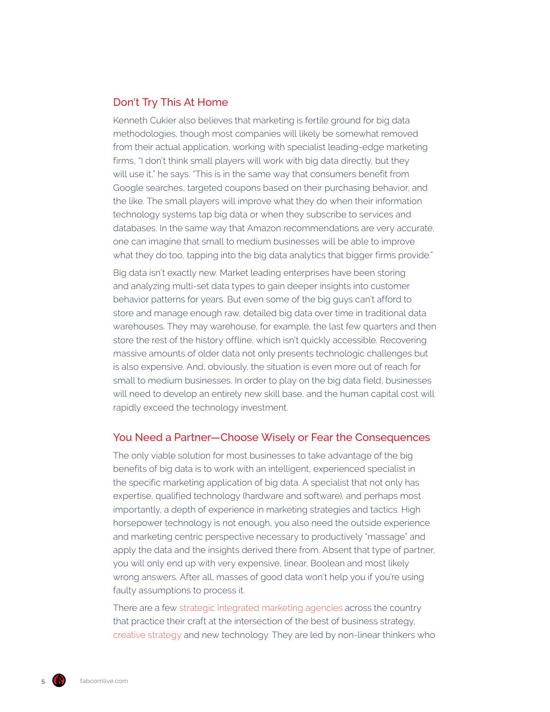### Don't Try This At Home

Kenneth Cukier also believes that marketing is fertile ground for big data methodologies, though most companies will likely be somewhat removed from their actual application, working with specialist leading-edge marketing firms, "I don't think small players will work with big data directly, but they will use it," he says. "This is in the same way that consumers benefit from Google searches, targeted coupons based on their purchasing behavior, and the like. The small players will improve what they do when their information technology systems tap big data or when they subscribe to services and databases. In the same way that Amazon recommendations are very accurate, one can imagine that small to medium businesses will be able to improve what they do too, tapping into the big data analytics that bigger firms provide."

Big data isn't exactly new. Market leading enterprises have been storing and analyzing multi-set data types to gain deeper insights into customer behavior patterns for years. But even some of the big guys can't afford to store and manage enough raw, detailed big data over time in traditional data warehouses. They may warehouse, for example, the last few quarters and then store the rest of the history offline, which isn't quickly accessible. Recovering massive amounts of older data not only presents technologic challenges but is also expensive. And, obviously, the situation is even more out of reach for small to medium businesses. In order to play on the big data field, businesses will need to develop an entirely new skill base, and the human capital cost will rapidly exceed the technology investment.

## You Need a Partner—Choose Wisely or Fear the Consequences

The only viable solution for most businesses to take advantage of the big benefits of big data is to work with an intelligent, experienced specialist in the specific marketing application of big data. A specialist that not only has expertise, qualified technology (hardware and software), and perhaps most importantly, a depth of experience in marketing strategies and tactics. High horsepower technology is not enough, you also need the outside experience and marketing centric perspective necessary to productively "massage" and apply the data and the insights derived there from. Absent that type of partner, you will only end up with very expensive, linear, Boolean and most likely wrong answers. After all, masses of good data won't help you if you're using faulty assumptions to process it.

There are a few [strategic integrated marketing agencies](https://www.fabcomlive.com/phoenix-marketing-advertising-agency-services/strategic-marketing-planning) across the country that practice their craft at the intersection of the best of business strategy, [creative strategy](https://www.fabcomlive.com/phoenix-marketing-advertising-agency-services/strategic-marketing-planning) and new technology. They are led by non-linear thinkers who